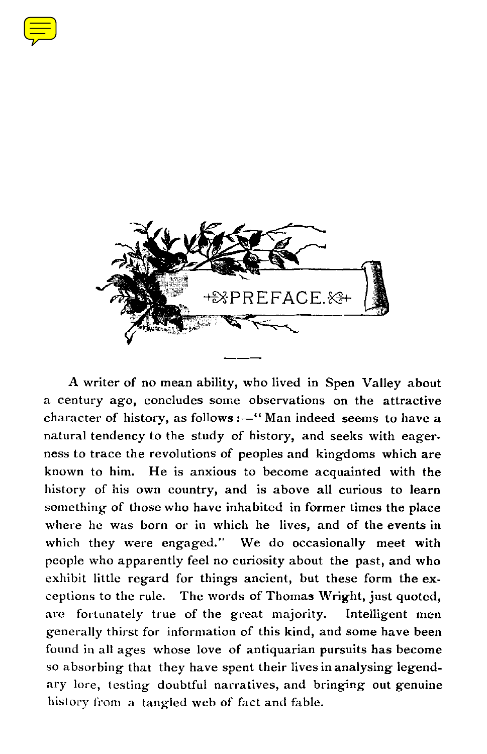



A writer of no mean ability, who lived in Spen Valley about a century ago, concludes some observations on the attractive character of history, as follows :—" Man indeed seems to have a natural tendency to the study of history, and seeks with eagerness to trace the revolutions of peoples and kingdoms which are known to him. He is anxious to become acquainted with the history of his own country, and is above all curious to learn something of those who have inhabited in former times the place where he was born or in which he lives, and of the events in which they were engaged." We do occasionally meet with people who apparently feel no curiosity about the past, and who exhibit little regard for things ancient, but these form the exceptions to the rule. The words of Thomas Wright, just quoted, are fortunately true of the great majority. Intelligent men generally thirst for information of this kind, and some have been found in all ages whose love of antiquarian pursuits has become so absorbing that they have spent their lives in analysing legendary lore, testing doubtful narratives, and bringing out genuine history from a tangled web of fact and fable.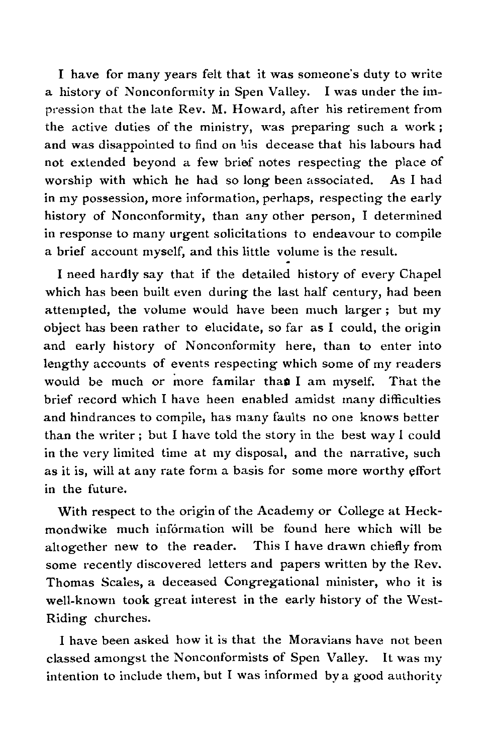I have for many years felt that it was someone's duty to write a history of Nonconformity in Spen Valley. I was under the impression that the late Rev. M. Howard, after his retirement from the active duties of the ministry, was preparing such a work ; and was disappointed to find on his decease that his labours had not extended beyond a few brief notes respecting the place of worship with which he had so long been associated. As I had in my possession, more information, perhaps, respecting the early history of Nonconformity, than any other person, I determined in response to many urgent solicitations to endeavour to compile a brief account myself, and this little volume is the result.

I need hardly say that if the detailed history of every Chapel which has been built even during the last half century, had been attempted, the volume would have been much larger ; but my object has been rather to elucidate, so far as I could, the origin and early history of Nonconformity here, than to enter into lengthy accounts of events respecting which some of my readers would be much or more familar than I am myself. That the brief record which I have been enabled amidst many difficulties and hindrances to compile, has many faults no one knows better than the writer ; but I have told the story in the best way I could in the very limited time at my disposal, and the narrative, such as it is, will at any rate form a basis for some more worthy effort in the future.

With respect to the origin of the Academy or College at Heckmondwike much information will be found here which will be altogether new to the reader. This I have drawn chiefly from some recently discovered letters and papers written by the Rev. Thomas Scales, a deceased Congregational minister, who it is well-known took great interest in the early history of the West-Riding churches.

I have been asked how it is that the Moravians have not been classed amongst the Nonconformists of Spen Valley. It was my intention to include them, but I was informed by a good authority